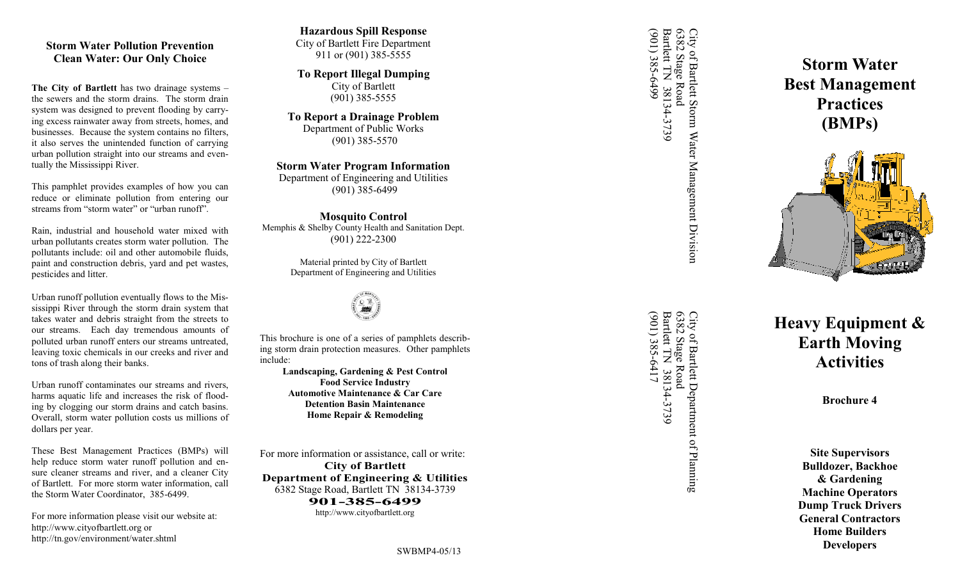# **Storm Water Pollution Prevention Clean Water: Our Only Choice**

**The City of Bartlett** has two drainage systems – the sewers and the storm drains. The storm drain system was designed to prevent flooding by carrying excess rainwater away from streets, homes, and businesses. Because the system contains no filters, it also serves the unintended function of carrying urban pollution straight into our streams and eventually the Mississippi River.

This pamphlet provides examples of how you can reduce or eliminate pollution from entering our streams from "storm water" or "urban runoff".

Rain, industrial and household water mixed with urban pollutants creates storm water pollution. The pollutants include: oil and other automobile fluids, paint and construction debris, yard and pet wastes, pesticides and litter.

Urban runoff pollution eventually flows to the Mississippi River through the storm drain system that takes water and debris straight from the streets to our streams. Each day tremendous amounts of polluted urban runoff enters our streams untreated, leaving toxic chemicals in our creeks and river and tons of trash along their banks.

Urban runoff contaminates our streams and rivers, harms aquatic life and increases the risk of flooding by clogging our storm drains and catch basins. Overall, storm water pollution costs us millions of dollars per year.

These Best Management Practices (BMPs) will help reduce storm water runoff pollution and ensure cleaner streams and river, and a cleaner City of Bartlett. For more storm water information, call the Storm Water Coordinator, 385 -6499.

For more information please visit our website at: http://www.cityofbartlett.org or http://tn.gov/environment/water.shtml

## **Hazardous Spill Response** City of Bartlett Fire Department 911 or (901) 385 -5555

**To Report Illegal Dumping** City of Bartlett (901) 385 -5555

**To Report a Drainage Problem** Department of Public Works (901) 385 -5570

### **Storm Water Program Information**

Department of Engineering and Utilities (901) 385 -6499

**Mosquito Control** Memphis & Shelby County Health and Sanitation Dept. (901) 222 -2300

> Material printed by City of Bartlett Department of Engineering and Utilities



This brochure is one of a series of pamphlets describing storm drain protection measures. Other pamphlets include:

**Landscaping, Gardening & Pest Control Food Service Industry Automotive Maintenance & Car Care Detention Basin Maintenance Home Repair & Remodeling**

For more information or assistance, call or write: **City of Bartlett Department of Engineering & Utilities** 6382 Stage Road, Bartlett TN 38134 -3739 **901 -385 -6499** http://www.cityofbartlett.org

6382 Stage Road<br>Bartlett TN 38134-3739<br>(901) 385-6499 (901) 385-6499 Bartlett TN 38134 City of Barlett Storm Water Management Division<br>6382 Stage Road<br>Bartlett TN 38134-3739 6382 Stage Road City of Bartlett Storm Water Management Division

City of Barlett Department of Planning<br>6382 Stage Road<br>Bartlett IN 38134-3739  $(901)$  385-6417 (901) 385-6417 Bartlett TN 38134 City of Barlett Department of Planning<br>6382 Stage Road<br>Bartlett TN 38134-3739 6382 Stage Road

**Storm Water Best Management Practices (BMPs)**



# **Heavy Equipment & Earth Moving Activities**

**Brochure 4**

**Site Supervisors Bulldozer, Backhoe & Gardening Machine Operators Dump Truck Drivers General Contractors Home Builders Developers**